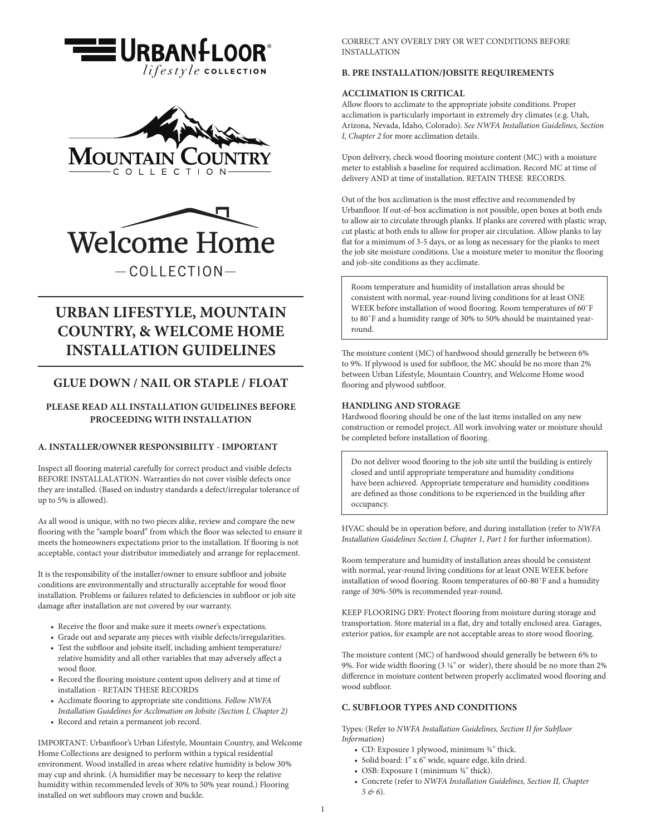





# **URBAN LIFESTYLE, MOUNTAIN COUNTRY, & WELCOME HOME INSTALLATION GUIDELINES**

## **GLUE DOWN / NAIL OR STAPLE / FLOAT**

## **PLEASE READ ALL INSTALLATION GUIDELINES BEFORE PROCEEDING WITH INSTALLATION**

## **A. INSTALLER/OWNER RESPONSIBILITY - IMPORTANT**

Inspect all flooring material carefully for correct product and visible defects BEFORE INSTALLALATION. Warranties do not cover visible defects once they are installed. (Based on industry standards a defect/irregular tolerance of up to 5% is allowed).

As all wood is unique, with no two pieces alike, review and compare the new flooring with the "sample board" from which the floor was selected to ensure it meets the homeowners expectations prior to the installation. If flooring is not acceptable, contact your distributor immediately and arrange for replacement.

It is the responsibility of the installer/owner to ensure subfloor and jobsite conditions are environmentally and structurally acceptable for wood floor installation. Problems or failures related to deficiencies in subfloor or job site damage after installation are not covered by our warranty.

- Receive the floor and make sure it meets owner's expectations.
- Grade out and separate any pieces with visible defects/irregularities.
- Test the subfloor and jobsite itself, including ambient temperature/ relative humidity and all other variables that may adversely affect a wood floor.
- Record the flooring moisture content upon delivery and at time of installation - RETAIN THESE RECORDS
- Acclimate flooring to appropriate site conditions. *Follow NWFA Installation Guidelines for Acclimation on Jobsite (Section I, Chapter 2)*
- Record and retain a permanent job record.

IMPORTANT: Urbanfloor's Urban Lifestyle, Mountain Country, and Welcome Home Collections are designed to perform within a typical residential environment. Wood installed in areas where relative humidity is below 30% may cup and shrink. (A humidifier may be necessary to keep the relative humidity within recommended levels of 30% to 50% year round.) Flooring installed on wet subfloors may crown and buckle.

CORRECT ANY OVERLY DRY OR WET CONDITIONS BEFORE INSTALLATION

## **B. PRE INSTALLATION/JOBSITE REQUIREMENTS**

## **ACCLIMATION IS CRITICAL**

Allow floors to acclimate to the appropriate jobsite conditions. Proper acclimation is particularly important in extremely dry climates (e.g. Utah, Arizona, Nevada, Idaho, Colorado). *See NWFA Installation Guidelines, Section I, Chapter 2* for more acclimation details.

Upon delivery, check wood flooring moisture content (MC) with a moisture meter to establish a baseline for required acclimation. Record MC at time of delivery AND at time of installation. RETAIN THESE RECORDS.

Out of the box acclimation is the most effective and recommended by Urbanfloor. If out-of-box acclimation is not possible, open boxes at both ends to allow air to circulate through planks. If planks are covered with plastic wrap, cut plastic at both ends to allow for proper air circulation. Allow planks to lay flat for a minimum of 3-5 days, or as long as necessary for the planks to meet the job site moisture conditions. Use a moisture meter to monitor the flooring and job-site conditions as they acclimate.

Room temperature and humidity of installation areas should be consistent with normal, year-round living conditions for at least ONE WEEK before installation of wood flooring. Room temperatures of 60˚F to 80˚F and a humidity range of 30% to 50% should be maintained yearround.

The moisture content (MC) of hardwood should generally be between 6% to 9%. If plywood is used for subfloor, the MC should be no more than 2% between Urban Lifestyle, Mountain Country, and Welcome Home wood flooring and plywood subfloor.

#### **HANDLING AND STORAGE**

Hardwood flooring should be one of the last items installed on any new construction or remodel project. All work involving water or moisture should be completed before installation of flooring.

Do not deliver wood flooring to the job site until the building is entirely closed and until appropriate temperature and humidity conditions have been achieved. Appropriate temperature and humidity conditions are defined as those conditions to be experienced in the building after occupancy.

HVAC should be in operation before, and during installation (refer to *NWFA Installation Guidelines Section I, Chapter 1, Part 1* for further information).

Room temperature and humidity of installation areas should be consistent with normal, year-round living conditions for at least ONE WEEK before installation of wood flooring. Room temperatures of 60-80˚F and a humidity range of 30%-50% is recommended year-round.

KEEP FLOORING DRY: Protect flooring from moisture during storage and transportation. Store material in a flat, dry and totally enclosed area. Garages, exterior patios, for example are not acceptable areas to store wood flooring.

The moisture content (MC) of hardwood should generally be between 6% to 9%. For wide width flooring  $(3 \frac{1}{4}^n)$  or wider), there should be no more than 2% difference in moisture content between properly acclimated wood flooring and wood subfloor.

#### **C. SUBFLOOR TYPES AND CONDITIONS**

Types: (Refer to *NWFA Installation Guidelines, Section II for Subfloor Information*)

- CD: Exposure 1 plywood, minimum 34" thick.
- Solid board: 1" x 6" wide, square edge, kiln dried.
- OSB: Exposure 1 (minimum  $\frac{3}{4}$ " thick).
- Concrete (refer to *NWFA Installation Guidelines, Section II, Chapter 5 & 6*).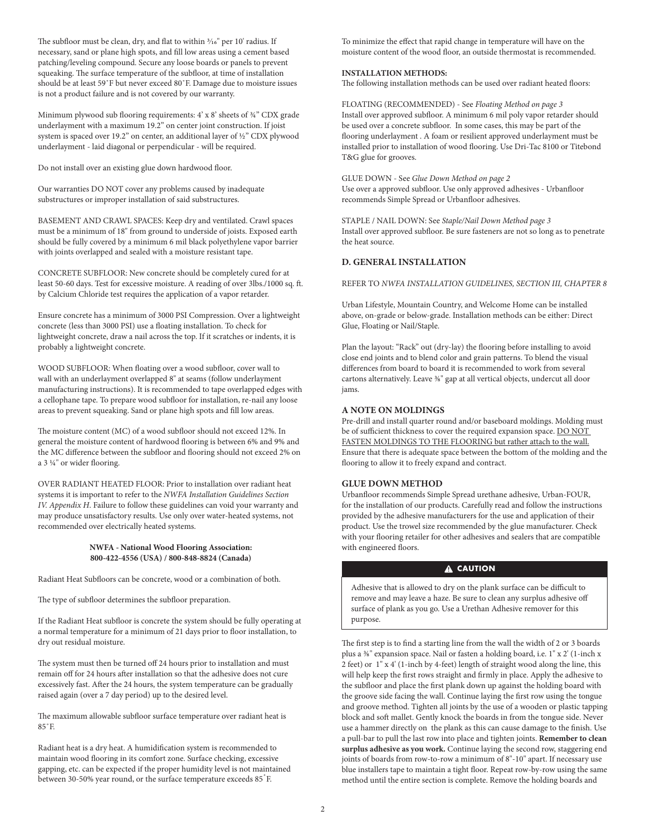The subfloor must be clean, dry, and flat to within  $\frac{3}{16}$ " per 10' radius. If necessary, sand or plane high spots, and fill low areas using a cement based patching/leveling compound. Secure any loose boards or panels to prevent squeaking. The surface temperature of the subfloor, at time of installation should be at least 59˚F but never exceed 80˚F. Damage due to moisture issues is not a product failure and is not covered by our warranty.

Minimum plywood sub flooring requirements: 4' x 8' sheets of ¾" CDX grade underlayment with a maximum 19.2" on center joint construction. If joist system is spaced over 19.2" on center, an additional layer of ½" CDX plywood underlayment - laid diagonal or perpendicular - will be required.

Do not install over an existing glue down hardwood floor.

Our warranties DO NOT cover any problems caused by inadequate substructures or improper installation of said substructures.

BASEMENT AND CRAWL SPACES: Keep dry and ventilated. Crawl spaces must be a minimum of 18" from ground to underside of joists. Exposed earth should be fully covered by a minimum 6 mil black polyethylene vapor barrier with joints overlapped and sealed with a moisture resistant tape.

CONCRETE SUBFLOOR: New concrete should be completely cured for at least 50-60 days. Test for excessive moisture. A reading of over 3lbs./1000 sq. ft. by Calcium Chloride test requires the application of a vapor retarder.

Ensure concrete has a minimum of 3000 PSI Compression. Over a lightweight concrete (less than 3000 PSI) use a floating installation. To check for lightweight concrete, draw a nail across the top. If it scratches or indents, it is probably a lightweight concrete.

WOOD SUBFLOOR: When floating over a wood subfloor, cover wall to wall with an underlayment overlapped 8" at seams (follow underlayment manufacturing instructions). It is recommended to tape overlapped edges with a cellophane tape. To prepare wood subfloor for installation, re-nail any loose areas to prevent squeaking. Sand or plane high spots and fill low areas.

The moisture content (MC) of a wood subfloor should not exceed 12%. In general the moisture content of hardwood flooring is between 6% and 9% and the MC difference between the subfloor and flooring should not exceed 2% on a 3 1/4" or wider flooring.

OVER RADIANT HEATED FLOOR: Prior to installation over radiant heat systems it is important to refer to the *NWFA Installation Guidelines Section IV. Appendix H*. Failure to follow these guidelines can void your warranty and may produce unsatisfactory results. Use only over water-heated systems, not recommended over electrically heated systems.

#### **NWFA - National Wood Flooring Association: 800-422-4556 (USA) / 800-848-8824 (Canada)**

Radiant Heat Subfloors can be concrete, wood or a combination of both.

The type of subfloor determines the subfloor preparation.

If the Radiant Heat subfloor is concrete the system should be fully operating at a normal temperature for a minimum of 21 days prior to floor installation, to dry out residual moisture.

The system must then be turned off 24 hours prior to installation and must remain off for 24 hours after installation so that the adhesive does not cure excessively fast. After the 24 hours, the system temperature can be gradually raised again (over a 7 day period) up to the desired level.

The maximum allowable subfloor surface temperature over radiant heat is 85˚F.

Radiant heat is a dry heat. A humidification system is recommended to maintain wood flooring in its comfort zone. Surface checking, excessive gapping, etc. can be expected if the proper humidity level is not maintained between 30-50% year round, or the surface temperature exceeds 85 F.

To minimize the effect that rapid change in temperature will have on the moisture content of the wood floor, an outside thermostat is recommended.

#### **INSTALLATION METHODS:**

The following installation methods can be used over radiant heated floors:

FLOATING (RECOMMENDED) - See *Floating Method on page 3* Install over approved subfloor. A minimum 6 mil poly vapor retarder should be used over a concrete subfloor. In some cases, this may be part of the flooring underlayment . A foam or resilient approved underlayment must be installed prior to installation of wood flooring. Use Dri-Tac 8100 or Titebond T&G glue for grooves.

GLUE DOWN - See *Glue Down Method on page 2* Use over a approved subfloor. Use only approved adhesives - Urbanfloor recommends Simple Spread or Urbanfloor adhesives.

STAPLE / NAIL DOWN: See *Staple/Nail Down Method page 3* Install over approved subfloor. Be sure fasteners are not so long as to penetrate the heat source.

#### **D. GENERAL INSTALLATION**

REFER TO *NWFA INSTALLATION GUIDELINES, SECTION III, CHAPTER 8*

Urban Lifestyle, Mountain Country, and Welcome Home can be installed above, on-grade or below-grade. Installation methods can be either: Direct Glue, Floating or Nail/Staple.

Plan the layout: "Rack" out (dry-lay) the flooring before installing to avoid close end joints and to blend color and grain patterns. To blend the visual differences from board to board it is recommended to work from several cartons alternatively. Leave %" gap at all vertical objects, undercut all door jams.

### **A NOTE ON MOLDINGS**

Pre-drill and install quarter round and/or baseboard moldings. Molding must be of sufficient thickness to cover the required expansion space. DO NOT FASTEN MOLDINGS TO THE FLOORING but rather attach to the wall. Ensure that there is adequate space between the bottom of the molding and the flooring to allow it to freely expand and contract.

#### **GLUE DOWN METHOD**

Urbanfloor recommends Simple Spread urethane adhesive, Urban-FOUR, for the installation of our products. Carefully read and follow the instructions provided by the adhesive manufacturers for the use and application of their product. Use the trowel size recommended by the glue manufacturer. Check with your flooring retailer for other adhesives and sealers that are compatible with engineered floors.

## **A CAUTION**

Adhesive that is allowed to dry on the plank surface can be difficult to remove and may leave a haze. Be sure to clean any surplus adhesive off surface of plank as you go. Use a Urethan Adhesive remover for this purpose.

The first step is to find a starting line from the wall the width of 2 or 3 boards plus a 3/8" expansion space. Nail or fasten a holding board, i.e. 1" x 2' (1-inch x 2 feet) or 1" x 4' (1-inch by 4-feet) length of straight wood along the line, this will help keep the first rows straight and firmly in place. Apply the adhesive to the subfloor and place the first plank down up against the holding board with the groove side facing the wall. Continue laying the first row using the tongue and groove method. Tighten all joints by the use of a wooden or plastic tapping block and soft mallet. Gently knock the boards in from the tongue side. Never use a hammer directly on the plank as this can cause damage to the finish. Use a pull-bar to pull the last row into place and tighten joints. **Remember to clean surplus adhesive as you work.** Continue laying the second row, staggering end joints of boards from row-to-row a minimum of 8"-10" apart. If necessary use blue installers tape to maintain a tight floor. Repeat row-by-row using the same method until the entire section is complete. Remove the holding boards and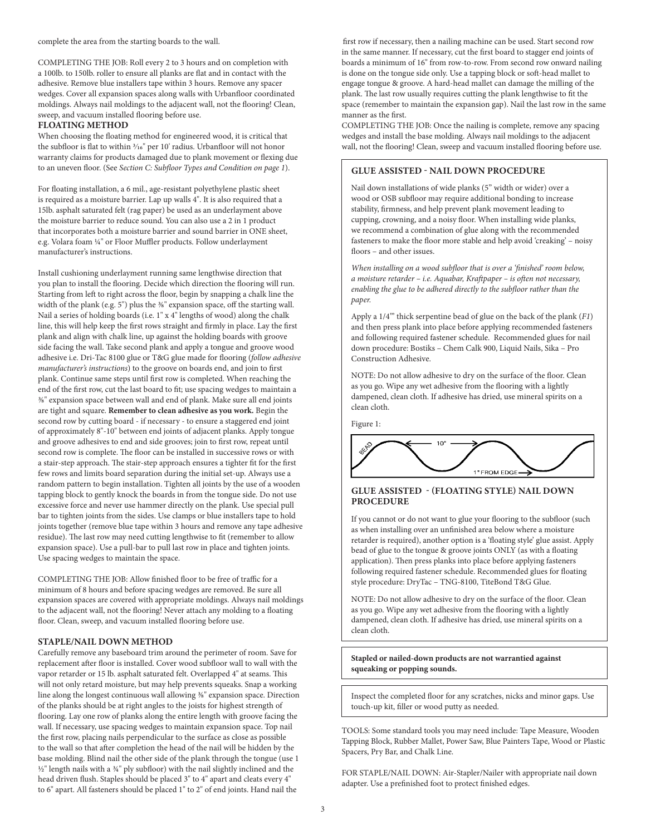#### complete the area from the starting boards to the wall.

COMPLETING THE JOB: Roll every 2 to 3 hours and on completion with a 100lb. to 150lb. roller to ensure all planks are flat and in contact with the adhesive. Remove blue installers tape within 3 hours. Remove any spacer wedges. Cover all expansion spaces along walls with Urbanfloor coordinated moldings. Always nail moldings to the adjacent wall, not the flooring! Clean, sweep, and vacuum installed flooring before use.

## **FLOATING METHOD**

When choosing the floating method for engineered wood, it is critical that the subfloor is flat to within 3/16" per 10' radius. Urbanfloor will not honor warranty claims for products damaged due to plank movement or flexing due to an uneven floor. (See *Section C: Subfloor Types and Condition on page 1*).

For floating installation, a 6 mil., age-resistant polyethylene plastic sheet is required as a moisture barrier. Lap up walls 4". It is also required that a 15lb. asphalt saturated felt (rag paper) be used as an underlayment above the moisture barrier to reduce sound. You can also use a 2 in 1 product that incorporates both a moisture barrier and sound barrier in ONE sheet, e.g. Volara foam 1/4" or Floor Muffler products. Follow underlayment manufacturer's instructions.

Install cushioning underlayment running same lengthwise direction that you plan to install the flooring. Decide which direction the flooring will run. Starting from left to right across the floor, begin by snapping a chalk line the width of the plank (e.g. 5") plus the  $%$ " expansion space, off the starting wall. Nail a series of holding boards (i.e. 1" x 4" lengths of wood) along the chalk line, this will help keep the first rows straight and firmly in place. Lay the first plank and align with chalk line, up against the holding boards with groove side facing the wall. Take second plank and apply a tongue and groove wood adhesive i.e. Dri-Tac 8100 glue or T&G glue made for flooring (*follow adhesive manufacturer's instructions*) to the groove on boards end, and join to first plank. Continue same steps until first row is completed. When reaching the end of the first row, cut the last board to fit; use spacing wedges to maintain a 3/8" expansion space between wall and end of plank. Make sure all end joints are tight and square. **Remember to clean adhesive as you work.** Begin the second row by cutting board - if necessary - to ensure a staggered end joint of approximately 8"-10" between end joints of adjacent planks. Apply tongue and groove adhesives to end and side grooves; join to first row, repeat until second row is complete. The floor can be installed in successive rows or with a stair-step approach. The stair-step approach ensures a tighter fit for the first few rows and limits board separation during the initial set-up. Always use a random pattern to begin installation. Tighten all joints by the use of a wooden tapping block to gently knock the boards in from the tongue side. Do not use excessive force and never use hammer directly on the plank. Use special pull bar to tighten joints from the sides. Use clamps or blue installers tape to hold joints together (remove blue tape within 3 hours and remove any tape adhesive residue). The last row may need cutting lengthwise to fit (remember to allow expansion space). Use a pull-bar to pull last row in place and tighten joints. Use spacing wedges to maintain the space.

COMPLETING THE JOB: Allow finished floor to be free of traffic for a minimum of 8 hours and before spacing wedges are removed. Be sure all expansion spaces are covered with appropriate moldings. Always nail moldings to the adjacent wall, not the flooring! Never attach any molding to a floating floor. Clean, sweep, and vacuum installed flooring before use.

#### **STAPLE/NAIL DOWN METHOD**

Carefully remove any baseboard trim around the perimeter of room. Save for replacement after floor is installed. Cover wood subfloor wall to wall with the vapor retarder or 15 lb. asphalt saturated felt. Overlapped 4" at seams. This will not only retard moisture, but may help prevents squeaks. Snap a working line along the longest continuous wall allowing  $\frac{36}{8}$ " expansion space. Direction of the planks should be at right angles to the joists for highest strength of flooring. Lay one row of planks along the entire length with groove facing the wall. If necessary, use spacing wedges to maintain expansion space. Top nail the first row, placing nails perpendicular to the surface as close as possible to the wall so that after completion the head of the nail will be hidden by the base molding. Blind nail the other side of the plank through the tongue (use 1  $1/2$ " length nails with a  $3/4$ " ply subfloor) with the nail slightly inclined and the head driven flush. Staples should be placed 3" to 4" apart and cleats every 4" to 6" apart. All fasteners should be placed 1" to 2" of end joints. Hand nail the

first row if necessary, then a nailing machine can be used. Start second row in the same manner. If necessary, cut the first board to stagger end joints of boards a minimum of 16" from row-to-row. From second row onward nailing is done on the tongue side only. Use a tapping block or soft-head mallet to engage tongue & groove. A hard-head mallet can damage the milling of the plank. The last row usually requires cutting the plank lengthwise to fit the space (remember to maintain the expansion gap). Nail the last row in the same manner as the first.

COMPLETING THE JOB: Once the nailing is complete, remove any spacing wedges and install the base molding. Always nail moldings to the adjacent wall, not the flooring! Clean, sweep and vacuum installed flooring before use.

## **GLUE ASSISTED - NAIL DOWN PROCEDURE**

Nail down installations of wide planks (5" width or wider) over a wood or OSB subfloor may require additional bonding to increase stability, firmness, and help prevent plank movement leading to cupping, crowning, and a noisy floor. When installing wide planks, we recommend a combination of glue along with the recommended fasteners to make the floor more stable and help avoid 'creaking' – noisy floors – and other issues.

*When installing on a wood subfloor that is over a 'finished' room below, a moisture retarder – i.e. Aquabar, Kraftpaper – is often not necessary, enabling the glue to be adhered directly to the subfloor rather than the paper.* 

Apply a 1/4'" thick serpentine bead of glue on the back of the plank (*F1*) and then press plank into place before applying recommended fasteners and following required fastener schedule. Recommended glues for nail down procedure: Bostiks – Chem Calk 900, Liquid Nails, Sika – Pro Construction Adhesive.

NOTE: Do not allow adhesive to dry on the surface of the floor. Clean as you go. Wipe any wet adhesive from the flooring with a lightly dampened, clean cloth. If adhesive has dried, use mineral spirits on a clean cloth.

Figure 1:



## **GLUE ASSISTED - (FLOATING STYLE) NAIL DOWN PROCEDURE**

If you cannot or do not want to glue your flooring to the subfloor (such as when installing over an unfinished area below where a moisture retarder is required), another option is a 'floating style' glue assist. Apply bead of glue to the tongue & groove joints ONLY (as with a floating application). Then press planks into place before applying fasteners following required fastener schedule. Recommended glues for floating style procedure: DryTac – TNG-8100, TiteBond T&G Glue.

NOTE: Do not allow adhesive to dry on the surface of the floor. Clean as you go. Wipe any wet adhesive from the flooring with a lightly dampened, clean cloth. If adhesive has dried, use mineral spirits on a clean cloth.

**Stapled or nailed-down products are not warrantied against squeaking or popping sounds.**

Inspect the completed floor for any scratches, nicks and minor gaps. Use touch-up kit, filler or wood putty as needed.

TOOLS: Some standard tools you may need include: Tape Measure, Wooden Tapping Block, Rubber Mallet, Power Saw, Blue Painters Tape, Wood or Plastic Spacers, Pry Bar, and Chalk Line.

FOR STAPLE/NAIL DOWN: Air-Stapler/Nailer with appropriate nail down adapter. Use a prefinished foot to protect finished edges.